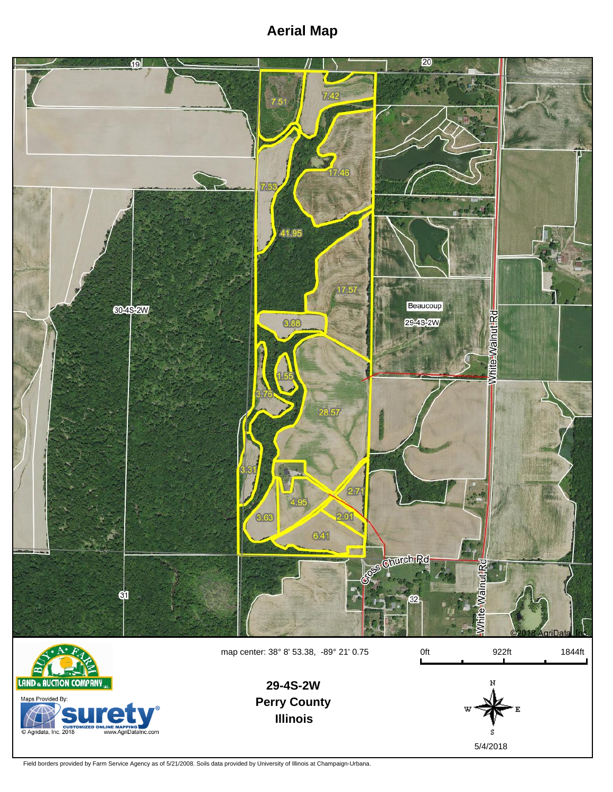## **Aerial Map**





**Perry County Illinois**



Field borders provided by Farm Service Agency as of 5/21/2008. Soils data provided by University of Illinois at Champaign-Urbana.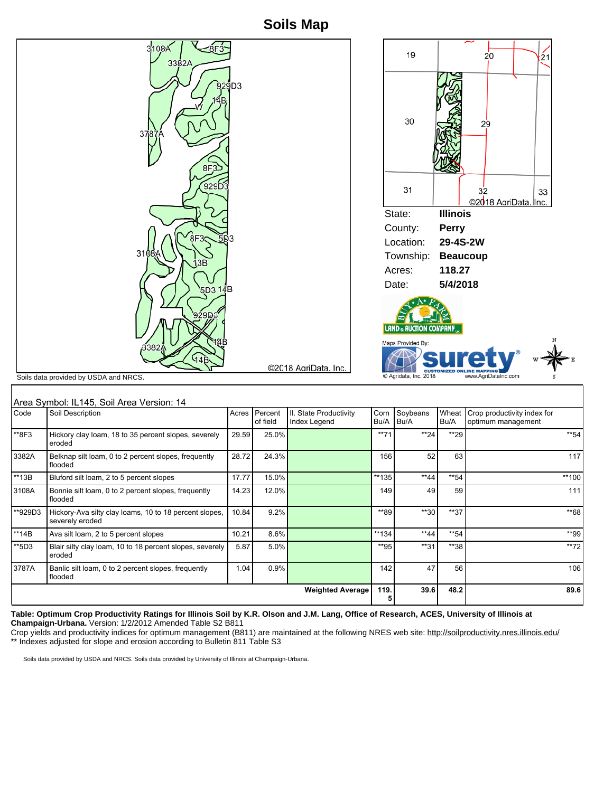**Soils Map**



eroded 3787A Banlic silt loam, 0 to 2 percent slopes, frequently flooded 1.04 0.9% 106 112 47 47 56 106 **Weighted Average 119. 5 39.6 48.2 89.6**

**Table: Optimum Crop Productivity Ratings for Illinois Soil by K.R. Olson and J.M. Lang, Office of Research, ACES, University of Illinois at Champaign-Urbana.** Version: 1/2/2012 Amended Table S2 B811

Crop yields and productivity indices for optimum management (B811) are maintained at the following NRES web site: http://soilproductivity.nres.illinois.edu/ \*\* Indexes adjusted for slope and erosion according to Bulletin 811 Table S3

Soils data provided by USDA and NRCS. Soils data provided by University of Illinois at Champaign-Urbana.